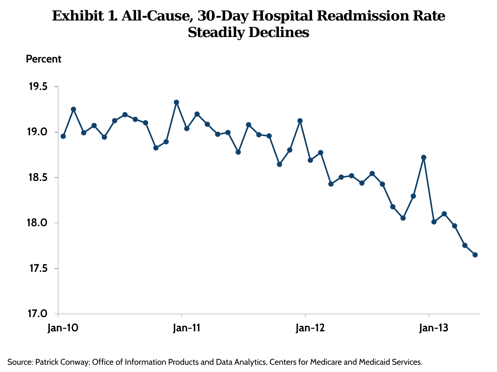## **Exhibit 1. All-Cause, 30-Day Hospital Readmission Rate Steadily Declines**





Source: Patrick Conway; Office of Information Products and Data Analytics, Centers for Medicare and Medicaid Services.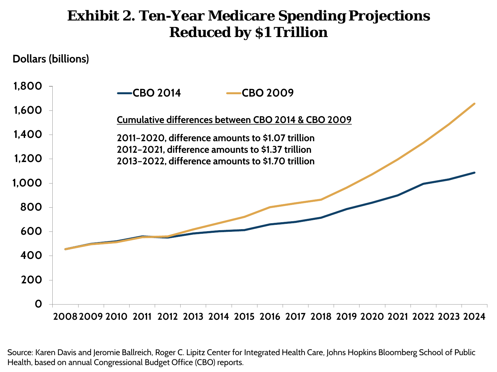## **Exhibit 2. Ten-Year Medicare Spending Projections Reduced by \$1 Trillion**

**Dollars (billions)**



Source: Karen Davis and Jeromie Ballreich, Roger C. Lipitz Center for Integrated Health Care, Johns Hopkins Bloomberg School of Public Health, based on annual Congressional Budget Office (CBO) reports.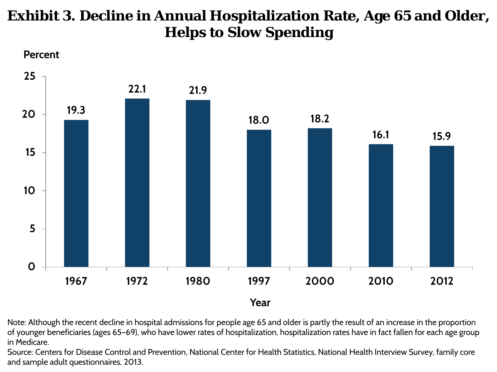# **Exhibit 3. Decline in Annual Hospitalization Rate, Age 65 and Older, Helps to Slow Spending**





Note: Although the recent decline in hospital admissions for people age 65 and older is partly the result of an increase in the proportion of younger beneficiaries (ages 65–69), who have lower rates of hospitalization, hospitalization rates have in fact fallen for each age group in Medicare.

Source: Centers for Disease Control and Prevention, National Center for Health Statistics, National Health Interview Survey, family core and sample adult questionnaires, 2013.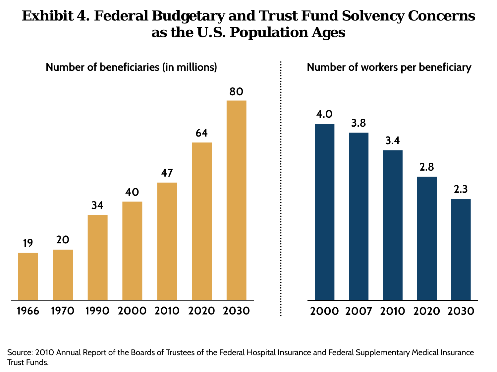## **Exhibit 4. Federal Budgetary and Trust Fund Solvency Concerns as the U.S. Population Ages**



Source: 2010 Annual Report of the Boards of Trustees of the Federal Hospital Insurance and Federal Supplementary Medical Insurance Trust Funds.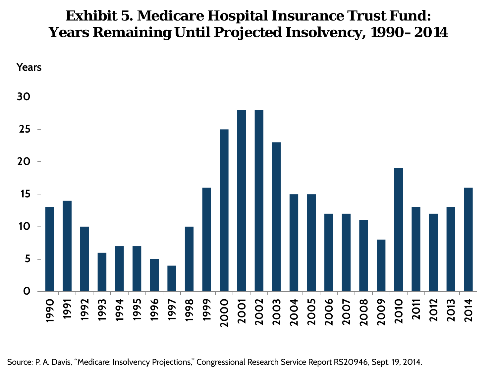#### **Exhibit 5. Medicare Hospital Insurance Trust Fund: Years Remaining Until Projected Insolvency, 1990–2014**



Source: P. A. Davis, "Medicare: Insolvency Projections," Congressional Research Service Report RS20946, Sept. 19, 2014.